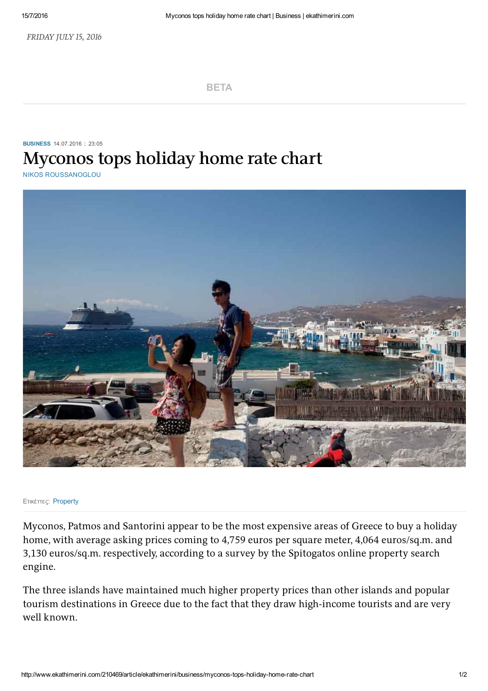[BETA](http://www.ekathimerini.com/)

## [BUSINESS](http://www.ekathimerini.com/business) 14.07.2016 : 23:05 **Myconos tops holiday home rate chart**

NIKOS [ROUSSANOGLOU](http://www.ekathimerini.com/authors?id=256)



## Ετικέττες: [Property](http://www.ekathimerini.com/tags?t=Property)

Myconos, Patmos and Santorini appear to be the most expensive areas of Greece to buy a holiday home, with average asking prices coming to 4,759 euros per square meter, 4,064 euros/sq.m. and 3,130 euros/sq.m. respectively, according to a survey by the Spitogatos online property search engine.

The three islands have maintained much higher property prices than other islands and popular tourism destinations in Greece due to the fact that they draw high-income tourists and are very well known.